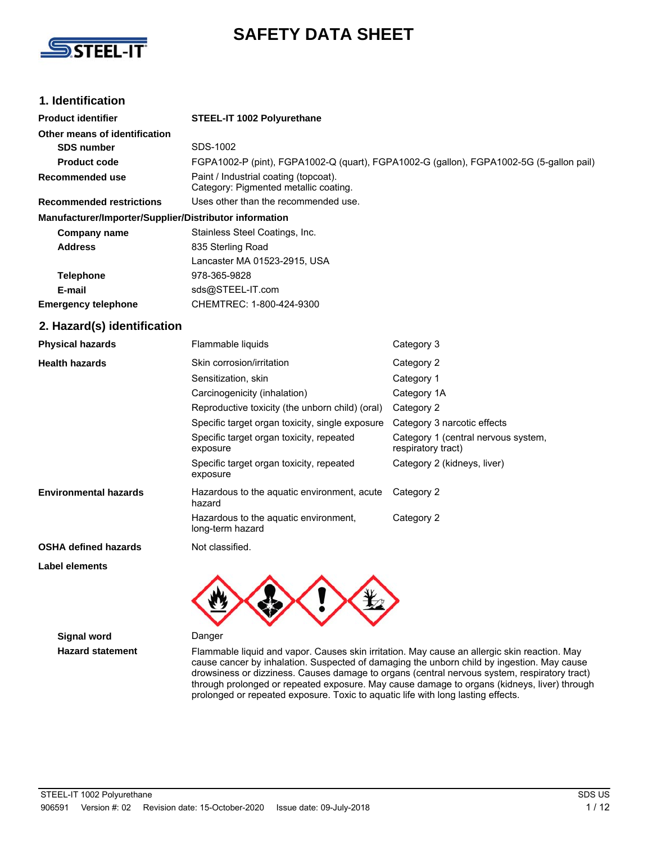

# **SAFETY DATA SHEET**

### **1. Identification**

| <b>Product identifier</b>                              | STEEL-IT 1002 Polyurethane                                                              |                                                           |
|--------------------------------------------------------|-----------------------------------------------------------------------------------------|-----------------------------------------------------------|
| Other means of identification                          |                                                                                         |                                                           |
| <b>SDS number</b>                                      | SDS-1002                                                                                |                                                           |
| <b>Product code</b>                                    | FGPA1002-P (pint), FGPA1002-Q (quart), FGPA1002-G (gallon), FGPA1002-5G (5-gallon pail) |                                                           |
| <b>Recommended use</b>                                 | Paint / Industrial coating (topcoat).<br>Category: Pigmented metallic coating.          |                                                           |
| <b>Recommended restrictions</b>                        | Uses other than the recommended use.                                                    |                                                           |
| Manufacturer/Importer/Supplier/Distributor information |                                                                                         |                                                           |
| <b>Company name</b>                                    | Stainless Steel Coatings, Inc.                                                          |                                                           |
| <b>Address</b>                                         | 835 Sterling Road                                                                       |                                                           |
|                                                        | Lancaster MA 01523-2915, USA                                                            |                                                           |
| <b>Telephone</b>                                       | 978-365-9828                                                                            |                                                           |
| E-mail                                                 | sds@STEEL-IT.com                                                                        |                                                           |
| <b>Emergency telephone</b>                             | CHEMTREC: 1-800-424-9300                                                                |                                                           |
| 2. Hazard(s) identification                            |                                                                                         |                                                           |
| <b>Physical hazards</b>                                | Flammable liquids                                                                       | Category 3                                                |
| <b>Health hazards</b>                                  | Skin corrosion/irritation                                                               | Category 2                                                |
|                                                        | Sensitization, skin                                                                     | Category 1                                                |
|                                                        | Carcinogenicity (inhalation)                                                            | Category 1A                                               |
|                                                        | Reproductive toxicity (the unborn child) (oral)                                         | Category 2                                                |
|                                                        | Specific target organ toxicity, single exposure                                         | Category 3 narcotic effects                               |
|                                                        | Specific target organ toxicity, repeated<br>exposure                                    | Category 1 (central nervous system,<br>respiratory tract) |
|                                                        | Specific target organ toxicity, repeated<br>exposure                                    | Category 2 (kidneys, liver)                               |
| <b>Environmental hazards</b>                           | Hazardous to the aquatic environment, acute<br>hazard                                   | Category 2                                                |
|                                                        | Hazardous to the aquatic environment,<br>long-term hazard                               | Category 2                                                |
| <b>OSHA defined hazards</b>                            | Not classified.                                                                         |                                                           |
|                                                        |                                                                                         |                                                           |

#### **Label elements**



**Signal word** Danger

**Hazard statement** Flammable liquid and vapor. Causes skin irritation. May cause an allergic skin reaction. May cause cancer by inhalation. Suspected of damaging the unborn child by ingestion. May cause drowsiness or dizziness. Causes damage to organs (central nervous system, respiratory tract) through prolonged or repeated exposure. May cause damage to organs (kidneys, liver) through prolonged or repeated exposure. Toxic to aquatic life with long lasting effects.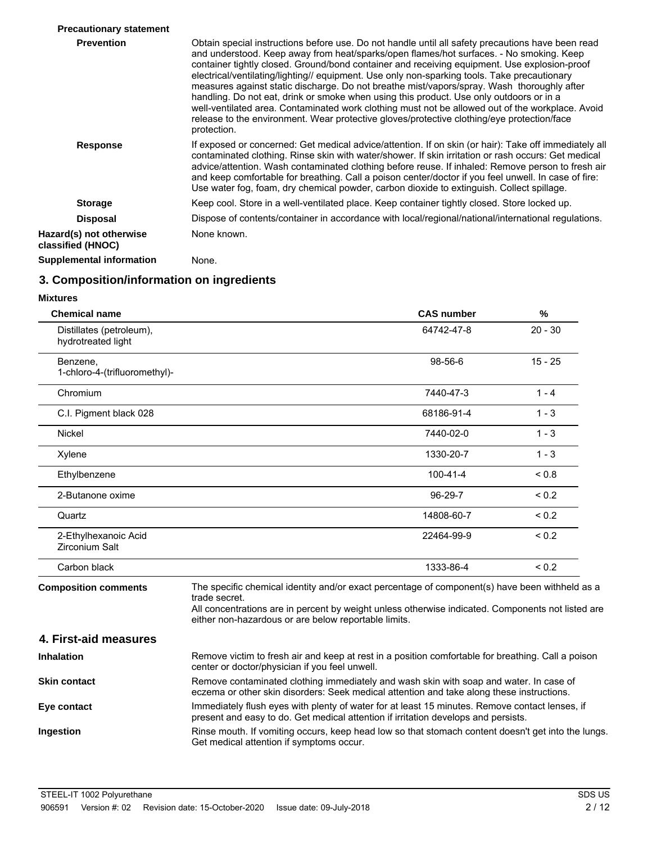| <b>Precautionary statement</b>               |                                                                                                                                                                                                                                                                                                                                                                                                                                                                                                                                                                                                                                                                                                                                                                                                        |
|----------------------------------------------|--------------------------------------------------------------------------------------------------------------------------------------------------------------------------------------------------------------------------------------------------------------------------------------------------------------------------------------------------------------------------------------------------------------------------------------------------------------------------------------------------------------------------------------------------------------------------------------------------------------------------------------------------------------------------------------------------------------------------------------------------------------------------------------------------------|
| <b>Prevention</b>                            | Obtain special instructions before use. Do not handle until all safety precautions have been read<br>and understood. Keep away from heat/sparks/open flames/hot surfaces. - No smoking. Keep<br>container tightly closed. Ground/bond container and receiving equipment. Use explosion-proof<br>electrical/ventilating/lighting// equipment. Use only non-sparking tools. Take precautionary<br>measures against static discharge. Do not breathe mist/vapors/spray. Wash thoroughly after<br>handling. Do not eat, drink or smoke when using this product. Use only outdoors or in a<br>well-ventilated area. Contaminated work clothing must not be allowed out of the workplace. Avoid<br>release to the environment. Wear protective gloves/protective clothing/eye protection/face<br>protection. |
| <b>Response</b>                              | If exposed or concerned: Get medical advice/attention. If on skin (or hair): Take off immediately all<br>contaminated clothing. Rinse skin with water/shower. If skin irritation or rash occurs: Get medical<br>advice/attention. Wash contaminated clothing before reuse. If inhaled: Remove person to fresh air<br>and keep comfortable for breathing. Call a poison center/doctor if you feel unwell. In case of fire:<br>Use water fog, foam, dry chemical powder, carbon dioxide to extinguish. Collect spillage.                                                                                                                                                                                                                                                                                 |
| <b>Storage</b>                               | Keep cool. Store in a well-ventilated place. Keep container tightly closed. Store locked up.                                                                                                                                                                                                                                                                                                                                                                                                                                                                                                                                                                                                                                                                                                           |
| <b>Disposal</b>                              | Dispose of contents/container in accordance with local/regional/national/international regulations.                                                                                                                                                                                                                                                                                                                                                                                                                                                                                                                                                                                                                                                                                                    |
| Hazard(s) not otherwise<br>classified (HNOC) | None known.                                                                                                                                                                                                                                                                                                                                                                                                                                                                                                                                                                                                                                                                                                                                                                                            |
| Supplemental information                     | None.                                                                                                                                                                                                                                                                                                                                                                                                                                                                                                                                                                                                                                                                                                                                                                                                  |

### **3. Composition/information on ingredients**

| <b>Mixtures</b>                                |                                                                                                                                                                                                                                                                              |            |
|------------------------------------------------|------------------------------------------------------------------------------------------------------------------------------------------------------------------------------------------------------------------------------------------------------------------------------|------------|
| <b>Chemical name</b>                           | <b>CAS number</b>                                                                                                                                                                                                                                                            | %          |
| Distillates (petroleum),<br>hydrotreated light | 64742-47-8                                                                                                                                                                                                                                                                   | $20 - 30$  |
| Benzene,<br>1-chloro-4-(trifluoromethyl)-      | 98-56-6                                                                                                                                                                                                                                                                      | $15 - 25$  |
| Chromium                                       | 7440-47-3                                                                                                                                                                                                                                                                    | $1 - 4$    |
| C.I. Pigment black 028                         | 68186-91-4                                                                                                                                                                                                                                                                   | $1 - 3$    |
| <b>Nickel</b>                                  | 7440-02-0                                                                                                                                                                                                                                                                    | $1 - 3$    |
| Xylene                                         | 1330-20-7                                                                                                                                                                                                                                                                    | $1 - 3$    |
| Ethylbenzene                                   | $100 - 41 - 4$                                                                                                                                                                                                                                                               | < 0.8      |
| 2-Butanone oxime                               | $96-29-7$                                                                                                                                                                                                                                                                    | ${}_{0.2}$ |
| Quartz                                         | 14808-60-7                                                                                                                                                                                                                                                                   | ${}_{0.2}$ |
| 2-Ethylhexanoic Acid<br>Zirconium Salt         | 22464-99-9                                                                                                                                                                                                                                                                   | ${}_{0.2}$ |
| Carbon black                                   | 1333-86-4                                                                                                                                                                                                                                                                    | ${}_{0.2}$ |
| <b>Composition comments</b>                    | The specific chemical identity and/or exact percentage of component(s) have been withheld as a<br>trade secret.<br>All concentrations are in percent by weight unless otherwise indicated. Components not listed are<br>either non-hazardous or are below reportable limits. |            |
| 4. First-aid measures                          |                                                                                                                                                                                                                                                                              |            |
| <b>Inhalation</b>                              | Remove victim to fresh air and keep at rest in a position comfortable for breathing. Call a poison<br>center or doctor/physician if you feel unwell.                                                                                                                         |            |
| <b>Skin contact</b>                            | Remove contaminated clothing immediately and wash skin with soap and water. In case of<br>eczema or other skin disorders: Seek medical attention and take along these instructions.                                                                                          |            |
| Eye contact                                    | Immediately flush eyes with plenty of water for at least 15 minutes. Remove contact lenses, if<br>present and easy to do. Get medical attention if irritation develops and persists.                                                                                         |            |
| Ingestion                                      | Rinse mouth. If vomiting occurs, keep head low so that stomach content doesn't get into the lungs.<br>Get medical attention if symptoms occur.                                                                                                                               |            |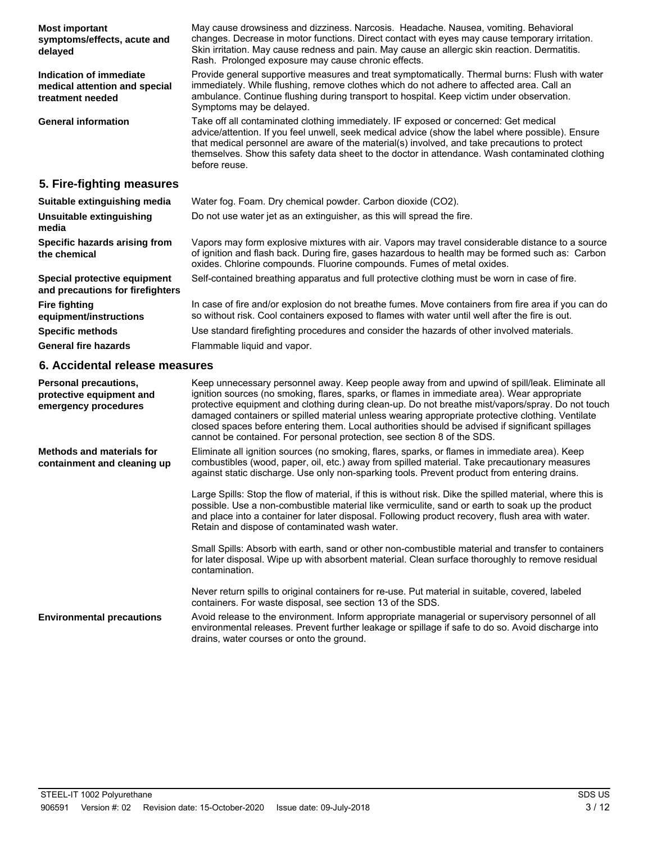May cause drowsiness and dizziness. Narcosis. Headache. Nausea, vomiting. Behavioral changes. Decrease in motor functions. Direct contact with eyes may cause temporary irritation. Skin irritation. May cause redness and pain. May cause an allergic skin reaction. Dermatitis. Rash. Prolonged exposure may cause chronic effects. **Most important symptoms/effects, acute and delayed** Provide general supportive measures and treat symptomatically. Thermal burns: Flush with water immediately. While flushing, remove clothes which do not adhere to affected area. Call an ambulance. Continue flushing during transport to hospital. Keep victim under observation. Symptoms may be delayed. **Indication of immediate medical attention and special treatment needed** Take off all contaminated clothing immediately. IF exposed or concerned: Get medical advice/attention. If you feel unwell, seek medical advice (show the label where possible). Ensure that medical personnel are aware of the material(s) involved, and take precautions to protect themselves. Show this safety data sheet to the doctor in attendance. Wash contaminated clothing before reuse. **General information 5. Fire-fighting measures Suitable extinguishing media** Water fog. Foam. Dry chemical powder. Carbon dioxide (CO2). **Unsuitable extinguishing** Do not use water jet as an extinguisher, as this will spread the fire. **media** Vapors may form explosive mixtures with air. Vapors may travel considerable distance to a source of ignition and flash back. During fire, gases hazardous to health may be formed such as: Carbon oxides. Chlorine compounds. Fluorine compounds. Fumes of metal oxides. **Specific hazards arising from the chemical Special protective equipment** Self-contained breathing apparatus and full protective clothing must be worn in case of fire. **and precautions for firefighters** In case of fire and/or explosion do not breathe fumes. Move containers from fire area if you can do **Fire fighting**

| Suitable extinguishing media                                     | Water fog. Foam. Dry chemical powder. Carbon dioxide (CO2).                                                                                                                                                                                                                    |
|------------------------------------------------------------------|--------------------------------------------------------------------------------------------------------------------------------------------------------------------------------------------------------------------------------------------------------------------------------|
| Unsuitable extinguishing<br>media                                | Do not use water jet as an extinguisher, as this will spread the fire.                                                                                                                                                                                                         |
| Specific hazards arising from<br>the chemical                    | Vapors may form explosive mixtures with air. Vapors may travel considerable distance to a source<br>of ignition and flash back. During fire, gases hazardous to health may be formed such as: Carbon<br>oxides. Chlorine compounds. Fluorine compounds. Fumes of metal oxides. |
| Special protective equipment<br>and precautions for firefighters | Self-contained breathing apparatus and full protective clothing must be worn in case of fire.                                                                                                                                                                                  |
| <b>Fire fighting</b><br>equipment/instructions                   | In case of fire and/or explosion do not breathe fumes. Move containers from fire area if you can do<br>so without risk. Cool containers exposed to flames with water until well after the fire is out.                                                                         |
| <b>Specific methods</b>                                          | Use standard firefighting procedures and consider the hazards of other involved materials.                                                                                                                                                                                     |
| <b>General fire hazards</b>                                      | Flammable liquid and vapor.                                                                                                                                                                                                                                                    |

### **6. Accidental release measures**

| Personal precautions,<br>protective equipment and<br>emergency procedures | Keep unnecessary personnel away. Keep people away from and upwind of spill/leak. Eliminate all<br>ignition sources (no smoking, flares, sparks, or flames in immediate area). Wear appropriate<br>protective equipment and clothing during clean-up. Do not breathe mist/vapors/spray. Do not touch<br>damaged containers or spilled material unless wearing appropriate protective clothing. Ventilate<br>closed spaces before entering them. Local authorities should be advised if significant spillages<br>cannot be contained. For personal protection, see section 8 of the SDS. |
|---------------------------------------------------------------------------|----------------------------------------------------------------------------------------------------------------------------------------------------------------------------------------------------------------------------------------------------------------------------------------------------------------------------------------------------------------------------------------------------------------------------------------------------------------------------------------------------------------------------------------------------------------------------------------|
| Methods and materials for<br>containment and cleaning up                  | Eliminate all ignition sources (no smoking, flares, sparks, or flames in immediate area). Keep<br>combustibles (wood, paper, oil, etc.) away from spilled material. Take precautionary measures<br>against static discharge. Use only non-sparking tools. Prevent product from entering drains.                                                                                                                                                                                                                                                                                        |
|                                                                           | Large Spills: Stop the flow of material, if this is without risk. Dike the spilled material, where this is<br>possible. Use a non-combustible material like vermiculite, sand or earth to soak up the product<br>and place into a container for later disposal. Following product recovery, flush area with water.<br>Retain and dispose of contaminated wash water.                                                                                                                                                                                                                   |
|                                                                           | Small Spills: Absorb with earth, sand or other non-combustible material and transfer to containers<br>for later disposal. Wipe up with absorbent material. Clean surface thoroughly to remove residual<br>contamination.                                                                                                                                                                                                                                                                                                                                                               |
|                                                                           | Never return spills to original containers for re-use. Put material in suitable, covered, labeled<br>containers. For waste disposal, see section 13 of the SDS.                                                                                                                                                                                                                                                                                                                                                                                                                        |
| <b>Environmental precautions</b>                                          | Avoid release to the environment. Inform appropriate managerial or supervisory personnel of all<br>environmental releases. Prevent further leakage or spillage if safe to do so. Avoid discharge into<br>drains, water courses or onto the ground.                                                                                                                                                                                                                                                                                                                                     |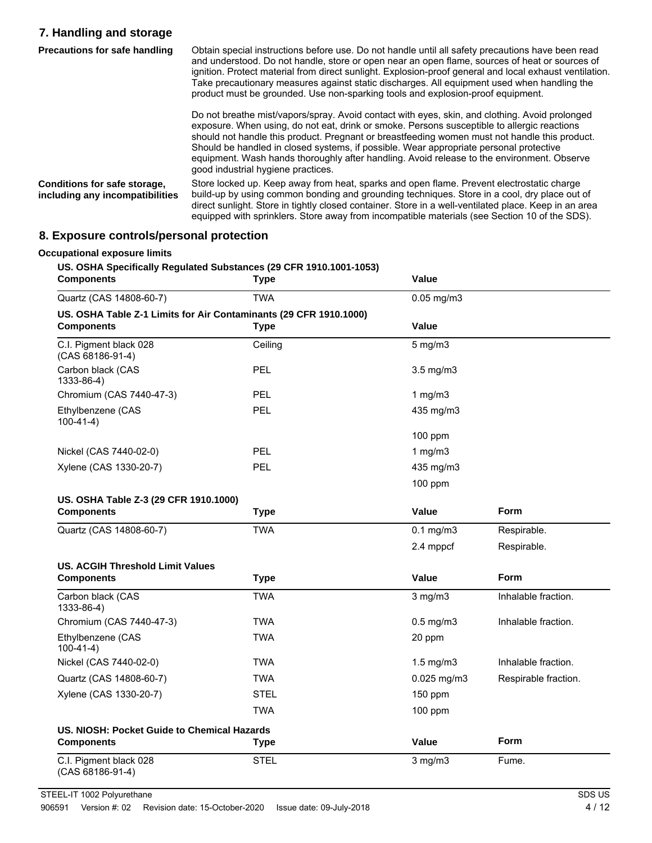### **7. Handling and storage**

| <b>Precautions for safe handling</b>                            | Obtain special instructions before use. Do not handle until all safety precautions have been read<br>and understood. Do not handle, store or open near an open flame, sources of heat or sources of<br>ignition. Protect material from direct sunlight. Explosion-proof general and local exhaust ventilation.<br>Take precautionary measures against static discharges. All equipment used when handling the<br>product must be grounded. Use non-sparking tools and explosion-proof equipment.                             |
|-----------------------------------------------------------------|------------------------------------------------------------------------------------------------------------------------------------------------------------------------------------------------------------------------------------------------------------------------------------------------------------------------------------------------------------------------------------------------------------------------------------------------------------------------------------------------------------------------------|
|                                                                 | Do not breathe mist/vapors/spray. Avoid contact with eyes, skin, and clothing. Avoid prolonged<br>exposure. When using, do not eat, drink or smoke. Persons susceptible to allergic reactions<br>should not handle this product. Pregnant or breastfeeding women must not handle this product.<br>Should be handled in closed systems, if possible. Wear appropriate personal protective<br>equipment. Wash hands thoroughly after handling. Avoid release to the environment. Observe<br>good industrial hygiene practices. |
| Conditions for safe storage,<br>including any incompatibilities | Store locked up. Keep away from heat, sparks and open flame. Prevent electrostatic charge<br>build-up by using common bonding and grounding techniques. Store in a cool, dry place out of<br>direct sunlight. Store in tightly closed container. Store in a well-ventilated place. Keep in an area<br>equipped with sprinklers. Store away from incompatible materials (see Section 10 of the SDS).                                                                                                                          |

# **8. Exposure controls/personal protection**

| <b>TWA</b><br>US. OSHA Table Z-1 Limits for Air Contaminants (29 CFR 1910.1000)<br><b>Type</b><br>Ceiling<br>PEL<br>PEL<br>PEL<br>PEL<br>PEL<br><b>Type</b><br><b>TWA</b> | $0.05$ mg/m $3$<br>Value<br>$5$ mg/m $3$<br>$3.5$ mg/m $3$<br>1 $mg/m3$<br>435 mg/m3<br>100 ppm<br>1 $mg/m3$<br>435 mg/m3<br>100 ppm<br>Value<br>$0.1$ mg/m $3$<br>2.4 mppcf | <b>Form</b><br>Respirable.<br>Respirable. |  |
|---------------------------------------------------------------------------------------------------------------------------------------------------------------------------|------------------------------------------------------------------------------------------------------------------------------------------------------------------------------|-------------------------------------------|--|
|                                                                                                                                                                           |                                                                                                                                                                              |                                           |  |
|                                                                                                                                                                           |                                                                                                                                                                              |                                           |  |
|                                                                                                                                                                           |                                                                                                                                                                              |                                           |  |
|                                                                                                                                                                           |                                                                                                                                                                              |                                           |  |
|                                                                                                                                                                           |                                                                                                                                                                              |                                           |  |
|                                                                                                                                                                           |                                                                                                                                                                              |                                           |  |
|                                                                                                                                                                           |                                                                                                                                                                              |                                           |  |
|                                                                                                                                                                           |                                                                                                                                                                              |                                           |  |
|                                                                                                                                                                           |                                                                                                                                                                              |                                           |  |
|                                                                                                                                                                           |                                                                                                                                                                              |                                           |  |
|                                                                                                                                                                           |                                                                                                                                                                              |                                           |  |
|                                                                                                                                                                           |                                                                                                                                                                              |                                           |  |
|                                                                                                                                                                           |                                                                                                                                                                              |                                           |  |
|                                                                                                                                                                           |                                                                                                                                                                              |                                           |  |
|                                                                                                                                                                           |                                                                                                                                                                              |                                           |  |
|                                                                                                                                                                           |                                                                                                                                                                              |                                           |  |
| <b>Type</b>                                                                                                                                                               | Value                                                                                                                                                                        | <b>Form</b>                               |  |
| <b>TWA</b>                                                                                                                                                                | $3$ mg/m $3$                                                                                                                                                                 | Inhalable fraction.                       |  |
| <b>TWA</b>                                                                                                                                                                | $0.5$ mg/m $3$                                                                                                                                                               | Inhalable fraction.                       |  |
|                                                                                                                                                                           | 20 ppm                                                                                                                                                                       |                                           |  |
|                                                                                                                                                                           | $1.5 \text{ mg/m}$ 3<br>Inhalable fraction.                                                                                                                                  |                                           |  |
|                                                                                                                                                                           | $0.025$ mg/m $3$<br>Respirable fraction.                                                                                                                                     |                                           |  |
|                                                                                                                                                                           | 150 ppm                                                                                                                                                                      |                                           |  |
|                                                                                                                                                                           | 100 ppm                                                                                                                                                                      |                                           |  |
|                                                                                                                                                                           |                                                                                                                                                                              |                                           |  |
|                                                                                                                                                                           | Value                                                                                                                                                                        | Form                                      |  |
|                                                                                                                                                                           | <b>TWA</b><br><b>TWA</b><br><b>TWA</b><br><b>STEL</b><br><b>TWA</b><br>US. NIOSH: Pocket Guide to Chemical Hazards<br><b>Type</b>                                            | <b>STEL</b><br>$3$ mg/m $3$               |  |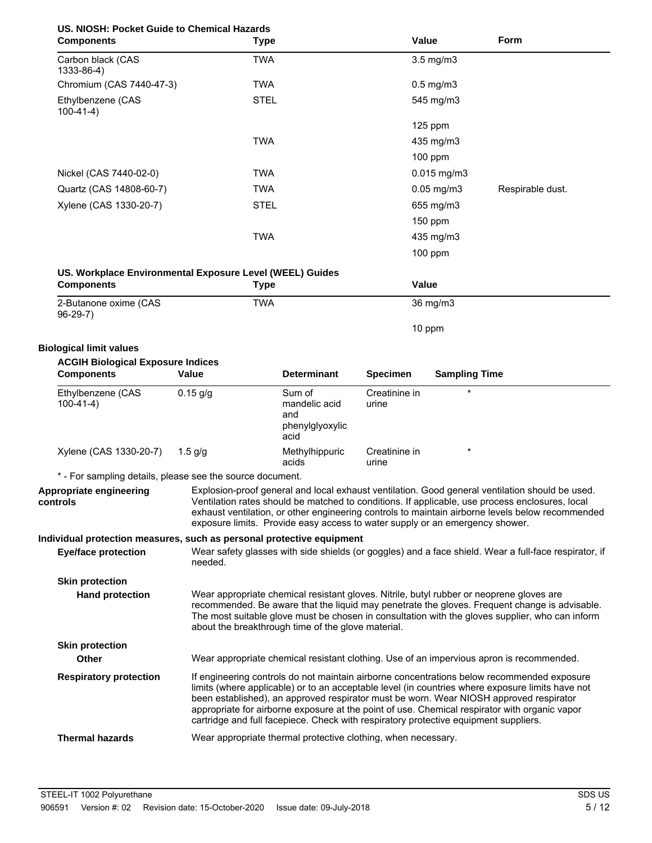| US. NIOSH: Pocket Guide to Chemical Hazards<br><b>Components</b>                     | Type                                                                                                                                                                                                                                                                                                                                                                                   |                                | Value                  |                      | Form                                                                                                                                                                                                                                                                                                                                                                                      |
|--------------------------------------------------------------------------------------|----------------------------------------------------------------------------------------------------------------------------------------------------------------------------------------------------------------------------------------------------------------------------------------------------------------------------------------------------------------------------------------|--------------------------------|------------------------|----------------------|-------------------------------------------------------------------------------------------------------------------------------------------------------------------------------------------------------------------------------------------------------------------------------------------------------------------------------------------------------------------------------------------|
| Carbon black (CAS<br>1333-86-4)                                                      | <b>TWA</b>                                                                                                                                                                                                                                                                                                                                                                             |                                |                        | $3.5$ mg/m $3$       |                                                                                                                                                                                                                                                                                                                                                                                           |
| Chromium (CAS 7440-47-3)                                                             | <b>TWA</b>                                                                                                                                                                                                                                                                                                                                                                             |                                |                        | $0.5$ mg/m $3$       |                                                                                                                                                                                                                                                                                                                                                                                           |
| Ethylbenzene (CAS<br>$100-41-4)$                                                     | <b>STEL</b>                                                                                                                                                                                                                                                                                                                                                                            |                                |                        | 545 mg/m3            |                                                                                                                                                                                                                                                                                                                                                                                           |
|                                                                                      |                                                                                                                                                                                                                                                                                                                                                                                        |                                |                        | 125 ppm              |                                                                                                                                                                                                                                                                                                                                                                                           |
|                                                                                      | <b>TWA</b>                                                                                                                                                                                                                                                                                                                                                                             |                                |                        | 435 mg/m3            |                                                                                                                                                                                                                                                                                                                                                                                           |
|                                                                                      |                                                                                                                                                                                                                                                                                                                                                                                        |                                |                        | 100 ppm              |                                                                                                                                                                                                                                                                                                                                                                                           |
| Nickel (CAS 7440-02-0)                                                               | <b>TWA</b>                                                                                                                                                                                                                                                                                                                                                                             |                                |                        | $0.015$ mg/m3        |                                                                                                                                                                                                                                                                                                                                                                                           |
| Quartz (CAS 14808-60-7)                                                              | <b>TWA</b>                                                                                                                                                                                                                                                                                                                                                                             |                                |                        | $0.05$ mg/m $3$      | Respirable dust.                                                                                                                                                                                                                                                                                                                                                                          |
| Xylene (CAS 1330-20-7)                                                               | <b>STEL</b>                                                                                                                                                                                                                                                                                                                                                                            |                                |                        | 655 mg/m3            |                                                                                                                                                                                                                                                                                                                                                                                           |
|                                                                                      |                                                                                                                                                                                                                                                                                                                                                                                        |                                |                        | 150 ppm              |                                                                                                                                                                                                                                                                                                                                                                                           |
|                                                                                      | <b>TWA</b>                                                                                                                                                                                                                                                                                                                                                                             |                                |                        | 435 mg/m3            |                                                                                                                                                                                                                                                                                                                                                                                           |
|                                                                                      |                                                                                                                                                                                                                                                                                                                                                                                        |                                |                        | 100 ppm              |                                                                                                                                                                                                                                                                                                                                                                                           |
| US. Workplace Environmental Exposure Level (WEEL) Guides<br><b>Components</b>        | <b>Type</b>                                                                                                                                                                                                                                                                                                                                                                            |                                | Value                  |                      |                                                                                                                                                                                                                                                                                                                                                                                           |
| 2-Butanone oxime (CAS                                                                | <b>TWA</b>                                                                                                                                                                                                                                                                                                                                                                             |                                |                        | 36 mg/m3             |                                                                                                                                                                                                                                                                                                                                                                                           |
| $96-29-7)$                                                                           |                                                                                                                                                                                                                                                                                                                                                                                        |                                |                        | 10 ppm               |                                                                                                                                                                                                                                                                                                                                                                                           |
| <b>Biological limit values</b>                                                       |                                                                                                                                                                                                                                                                                                                                                                                        |                                |                        |                      |                                                                                                                                                                                                                                                                                                                                                                                           |
| <b>ACGIH Biological Exposure Indices</b><br><b>Components</b>                        | <b>Value</b>                                                                                                                                                                                                                                                                                                                                                                           | <b>Determinant</b>             | <b>Specimen</b>        | <b>Sampling Time</b> |                                                                                                                                                                                                                                                                                                                                                                                           |
| Ethylbenzene (CAS<br>$100-41-4)$                                                     | $0.15$ g/g                                                                                                                                                                                                                                                                                                                                                                             | Sum of<br>mandelic acid<br>and | Creatinine in<br>urine | $\star$              |                                                                                                                                                                                                                                                                                                                                                                                           |
|                                                                                      |                                                                                                                                                                                                                                                                                                                                                                                        | phenylglyoxylic<br>acid        |                        |                      |                                                                                                                                                                                                                                                                                                                                                                                           |
| Xylene (CAS 1330-20-7)                                                               | $1.5$ g/g                                                                                                                                                                                                                                                                                                                                                                              | Methylhippuric<br>acids        | Creatinine in<br>urine | $\star$              |                                                                                                                                                                                                                                                                                                                                                                                           |
| * - For sampling details, please see the source document.<br>Appropriate engineering |                                                                                                                                                                                                                                                                                                                                                                                        |                                |                        |                      |                                                                                                                                                                                                                                                                                                                                                                                           |
| controls                                                                             | Explosion-proof general and local exhaust ventilation. Good general ventilation should be used.<br>Ventilation rates should be matched to conditions. If applicable, use process enclosures, local<br>exhaust ventilation, or other engineering controls to maintain airborne levels below recommended<br>exposure limits. Provide easy access to water supply or an emergency shower. |                                |                        |                      |                                                                                                                                                                                                                                                                                                                                                                                           |
| Individual protection measures, such as personal protective equipment                |                                                                                                                                                                                                                                                                                                                                                                                        |                                |                        |                      |                                                                                                                                                                                                                                                                                                                                                                                           |
| <b>Eye/face protection</b>                                                           | needed.                                                                                                                                                                                                                                                                                                                                                                                |                                |                        |                      | Wear safety glasses with side shields (or goggles) and a face shield. Wear a full-face respirator, if                                                                                                                                                                                                                                                                                     |
| <b>Skin protection</b>                                                               |                                                                                                                                                                                                                                                                                                                                                                                        |                                |                        |                      |                                                                                                                                                                                                                                                                                                                                                                                           |
| <b>Hand protection</b>                                                               | Wear appropriate chemical resistant gloves. Nitrile, butyl rubber or neoprene gloves are<br>about the breakthrough time of the glove material.                                                                                                                                                                                                                                         |                                |                        |                      | recommended. Be aware that the liquid may penetrate the gloves. Frequent change is advisable.<br>The most suitable glove must be chosen in consultation with the gloves supplier, who can inform                                                                                                                                                                                          |
| <b>Skin protection</b><br><b>Other</b>                                               |                                                                                                                                                                                                                                                                                                                                                                                        |                                |                        |                      | Wear appropriate chemical resistant clothing. Use of an impervious apron is recommended.                                                                                                                                                                                                                                                                                                  |
| <b>Respiratory protection</b>                                                        | cartridge and full facepiece. Check with respiratory protective equipment suppliers.                                                                                                                                                                                                                                                                                                   |                                |                        |                      | If engineering controls do not maintain airborne concentrations below recommended exposure<br>limits (where applicable) or to an acceptable level (in countries where exposure limits have not<br>been established), an approved respirator must be worn. Wear NIOSH approved respirator<br>appropriate for airborne exposure at the point of use. Chemical respirator with organic vapor |
| <b>Thermal hazards</b>                                                               | Wear appropriate thermal protective clothing, when necessary.                                                                                                                                                                                                                                                                                                                          |                                |                        |                      |                                                                                                                                                                                                                                                                                                                                                                                           |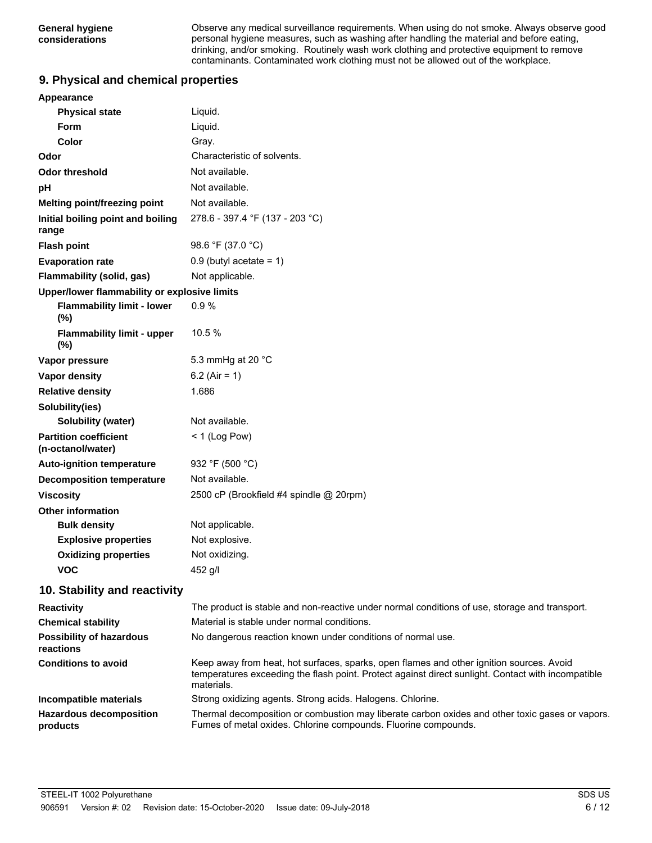Observe any medical surveillance requirements. When using do not smoke. Always observe good personal hygiene measures, such as washing after handling the material and before eating, drinking, and/or smoking. Routinely wash work clothing and protective equipment to remove contaminants. Contaminated work clothing must not be allowed out of the workplace.

### **9. Physical and chemical properties**

| Appearance                                        |                                         |  |
|---------------------------------------------------|-----------------------------------------|--|
| <b>Physical state</b>                             | Liquid.                                 |  |
| Form                                              | Liquid.                                 |  |
| Color                                             | Gray.                                   |  |
| Odor                                              | Characteristic of solvents.             |  |
| <b>Odor threshold</b>                             | Not available.                          |  |
| pH                                                | Not available.                          |  |
| <b>Melting point/freezing point</b>               | Not available.                          |  |
| Initial boiling point and boiling<br>range        | 278.6 - 397.4 °F (137 - 203 °C)         |  |
| <b>Flash point</b>                                | 98.6 °F (37.0 °C)                       |  |
| <b>Evaporation rate</b>                           | $0.9$ (butyl acetate = 1)               |  |
| <b>Flammability (solid, gas)</b>                  | Not applicable.                         |  |
| Upper/lower flammability or explosive limits      |                                         |  |
| <b>Flammability limit - lower</b><br>(%)          | 0.9%                                    |  |
| <b>Flammability limit - upper</b><br>(%)          | 10.5%                                   |  |
| Vapor pressure                                    | 5.3 mmHg at 20 °C                       |  |
| <b>Vapor density</b>                              | 6.2 (Air = 1)                           |  |
| <b>Relative density</b>                           | 1.686                                   |  |
| Solubility(ies)                                   |                                         |  |
| <b>Solubility (water)</b>                         | Not available.                          |  |
| <b>Partition coefficient</b><br>(n-octanol/water) | $<$ 1 (Log Pow)                         |  |
| <b>Auto-ignition temperature</b>                  | 932 °F (500 °C)                         |  |
| <b>Decomposition temperature</b>                  | Not available.                          |  |
| <b>Viscosity</b>                                  | 2500 cP (Brookfield #4 spindle @ 20rpm) |  |
| <b>Other information</b>                          |                                         |  |
| <b>Bulk density</b>                               | Not applicable.                         |  |
| <b>Explosive properties</b>                       | Not explosive.                          |  |
| <b>Oxidizing properties</b>                       | Not oxidizing.                          |  |
| <b>VOC</b>                                        | 452 g/l                                 |  |

### **10. Stability and reactivity**

| <b>Reactivity</b>                            | The product is stable and non-reactive under normal conditions of use, storage and transport.                                                                                                                |
|----------------------------------------------|--------------------------------------------------------------------------------------------------------------------------------------------------------------------------------------------------------------|
| <b>Chemical stability</b>                    | Material is stable under normal conditions.                                                                                                                                                                  |
| <b>Possibility of hazardous</b><br>reactions | No dangerous reaction known under conditions of normal use.                                                                                                                                                  |
| <b>Conditions to avoid</b>                   | Keep away from heat, hot surfaces, sparks, open flames and other ignition sources. Avoid<br>temperatures exceeding the flash point. Protect against direct sunlight. Contact with incompatible<br>materials. |
| Incompatible materials                       | Strong oxidizing agents. Strong acids. Halogens. Chlorine.                                                                                                                                                   |
| <b>Hazardous decomposition</b><br>products   | Thermal decomposition or combustion may liberate carbon oxides and other toxic gases or vapors.<br>Fumes of metal oxides. Chlorine compounds. Fluorine compounds.                                            |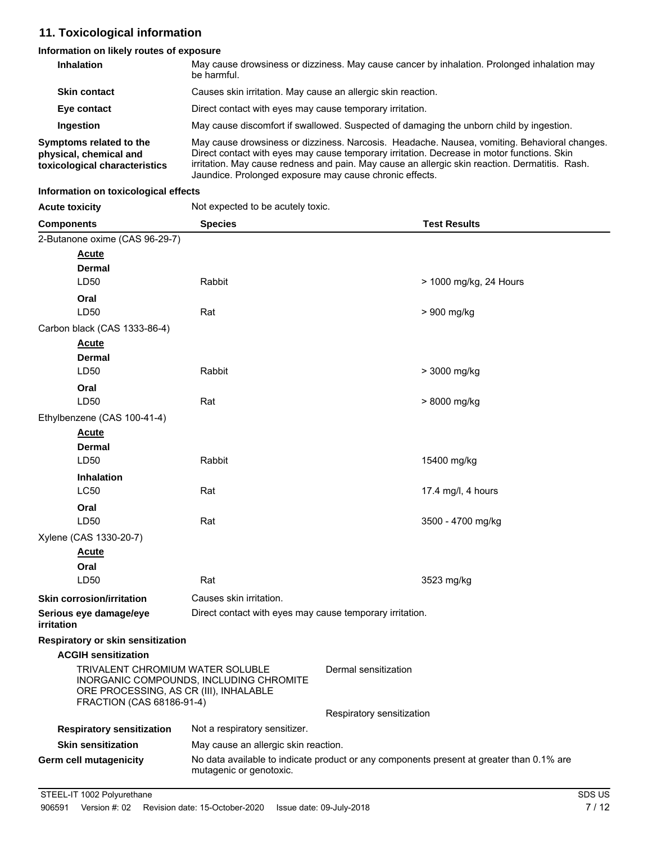### **11. Toxicological information**

### **Information on likely routes of exposure**

| <b>Inhalation</b>                                                                  | May cause drowsiness or dizziness. May cause cancer by inhalation. Prolonged inhalation may<br>be harmful.                                                                                                                                                                                                                                              |
|------------------------------------------------------------------------------------|---------------------------------------------------------------------------------------------------------------------------------------------------------------------------------------------------------------------------------------------------------------------------------------------------------------------------------------------------------|
| <b>Skin contact</b>                                                                | Causes skin irritation. May cause an allergic skin reaction.                                                                                                                                                                                                                                                                                            |
| Eye contact                                                                        | Direct contact with eyes may cause temporary irritation.                                                                                                                                                                                                                                                                                                |
| <b>Ingestion</b>                                                                   | May cause discomfort if swallowed. Suspected of damaging the unborn child by ingestion.                                                                                                                                                                                                                                                                 |
| Symptoms related to the<br>physical, chemical and<br>toxicological characteristics | May cause drowsiness or dizziness. Narcosis. Headache. Nausea, vomiting. Behavioral changes.<br>Direct contact with eyes may cause temporary irritation. Decrease in motor functions. Skin<br>irritation. May cause redness and pain. May cause an allergic skin reaction. Dermatitis. Rash.<br>Jaundice. Prolonged exposure may cause chronic effects. |

#### **Information on toxicological effects**

| <b>Acute toxicity</b> | Not expected to be acutely toxic. |
|-----------------------|-----------------------------------|
|-----------------------|-----------------------------------|

| <b>Components</b>                                                                                                                                  | <b>Species</b>                                                                                                      | <b>Test Results</b>       |
|----------------------------------------------------------------------------------------------------------------------------------------------------|---------------------------------------------------------------------------------------------------------------------|---------------------------|
| 2-Butanone oxime (CAS 96-29-7)                                                                                                                     |                                                                                                                     |                           |
| <b>Acute</b>                                                                                                                                       |                                                                                                                     |                           |
| Dermal                                                                                                                                             |                                                                                                                     |                           |
| LD50                                                                                                                                               | Rabbit                                                                                                              | > 1000 mg/kg, 24 Hours    |
| Oral                                                                                                                                               |                                                                                                                     |                           |
| LD50                                                                                                                                               | Rat                                                                                                                 | > 900 mg/kg               |
| Carbon black (CAS 1333-86-4)                                                                                                                       |                                                                                                                     |                           |
| <b>Acute</b>                                                                                                                                       |                                                                                                                     |                           |
| Dermal                                                                                                                                             |                                                                                                                     |                           |
| LD50                                                                                                                                               | Rabbit                                                                                                              | > 3000 mg/kg              |
| Oral                                                                                                                                               |                                                                                                                     |                           |
| LD50                                                                                                                                               | Rat                                                                                                                 | > 8000 mg/kg              |
| Ethylbenzene (CAS 100-41-4)                                                                                                                        |                                                                                                                     |                           |
| <b>Acute</b>                                                                                                                                       |                                                                                                                     |                           |
| Dermal                                                                                                                                             |                                                                                                                     |                           |
| LD50                                                                                                                                               | Rabbit                                                                                                              | 15400 mg/kg               |
| <b>Inhalation</b>                                                                                                                                  |                                                                                                                     |                           |
| <b>LC50</b>                                                                                                                                        | Rat                                                                                                                 | 17.4 mg/l, 4 hours        |
| Oral                                                                                                                                               |                                                                                                                     |                           |
| LD50                                                                                                                                               | Rat                                                                                                                 | 3500 - 4700 mg/kg         |
| Xylene (CAS 1330-20-7)                                                                                                                             |                                                                                                                     |                           |
| <u>Acute</u>                                                                                                                                       |                                                                                                                     |                           |
| Oral                                                                                                                                               |                                                                                                                     |                           |
| LD50                                                                                                                                               | Rat                                                                                                                 | 3523 mg/kg                |
| <b>Skin corrosion/irritation</b>                                                                                                                   | Causes skin irritation.                                                                                             |                           |
| Serious eye damage/eye                                                                                                                             | Direct contact with eyes may cause temporary irritation.                                                            |                           |
| irritation                                                                                                                                         |                                                                                                                     |                           |
| Respiratory or skin sensitization                                                                                                                  |                                                                                                                     |                           |
| <b>ACGIH sensitization</b>                                                                                                                         |                                                                                                                     |                           |
| TRIVALENT CHROMIUM WATER SOLUBLE<br>INORGANIC COMPOUNDS, INCLUDING CHROMITE<br>ORE PROCESSING, AS CR (III), INHALABLE<br>FRACTION (CAS 68186-91-4) |                                                                                                                     | Dermal sensitization      |
|                                                                                                                                                    |                                                                                                                     | Respiratory sensitization |
| <b>Respiratory sensitization</b>                                                                                                                   | Not a respiratory sensitizer.                                                                                       |                           |
| <b>Skin sensitization</b>                                                                                                                          | May cause an allergic skin reaction.                                                                                |                           |
| Germ cell mutagenicity                                                                                                                             | No data available to indicate product or any components present at greater than 0.1% are<br>mutagenic or genotoxic. |                           |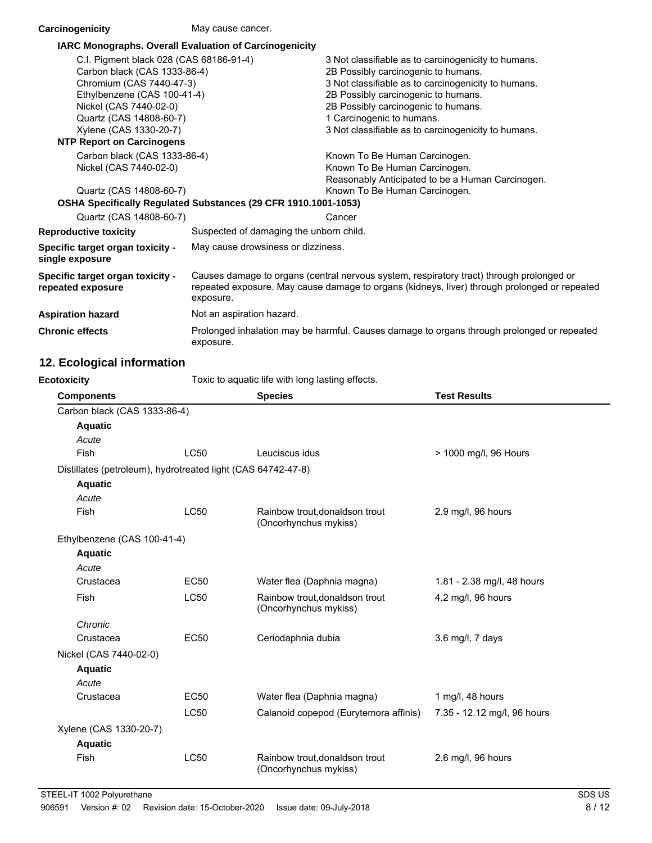| Carcinogenicity                                                                                                                                                                                                                                       | May cause cancer.                                                                                                                                                                                     |                                                                                                                                                                                                                                                                                                                     |
|-------------------------------------------------------------------------------------------------------------------------------------------------------------------------------------------------------------------------------------------------------|-------------------------------------------------------------------------------------------------------------------------------------------------------------------------------------------------------|---------------------------------------------------------------------------------------------------------------------------------------------------------------------------------------------------------------------------------------------------------------------------------------------------------------------|
| IARC Monographs. Overall Evaluation of Carcinogenicity                                                                                                                                                                                                |                                                                                                                                                                                                       |                                                                                                                                                                                                                                                                                                                     |
| C.I. Pigment black 028 (CAS 68186-91-4)<br>Carbon black (CAS 1333-86-4)<br>Chromium (CAS 7440-47-3)<br>Ethylbenzene (CAS 100-41-4)<br>Nickel (CAS 7440-02-0)<br>Quartz (CAS 14808-60-7)<br>Xylene (CAS 1330-20-7)<br><b>NTP Report on Carcinogens</b> |                                                                                                                                                                                                       | 3 Not classifiable as to carcinogenicity to humans.<br>2B Possibly carcinogenic to humans.<br>3 Not classifiable as to carcinogenicity to humans.<br>2B Possibly carcinogenic to humans.<br>2B Possibly carcinogenic to humans.<br>1 Carcinogenic to humans.<br>3 Not classifiable as to carcinogenicity to humans. |
| Carbon black (CAS 1333-86-4)<br>Nickel (CAS 7440-02-0)<br>Quartz (CAS 14808-60-7)                                                                                                                                                                     | OSHA Specifically Regulated Substances (29 CFR 1910.1001-1053)                                                                                                                                        | Known To Be Human Carcinogen.<br>Known To Be Human Carcinogen.<br>Reasonably Anticipated to be a Human Carcinogen.<br>Known To Be Human Carcinogen.                                                                                                                                                                 |
| Quartz (CAS 14808-60-7)                                                                                                                                                                                                                               |                                                                                                                                                                                                       | Cancer                                                                                                                                                                                                                                                                                                              |
| <b>Reproductive toxicity</b>                                                                                                                                                                                                                          | Suspected of damaging the unborn child.                                                                                                                                                               |                                                                                                                                                                                                                                                                                                                     |
| Specific target organ toxicity -<br>single exposure                                                                                                                                                                                                   | May cause drowsiness or dizziness.                                                                                                                                                                    |                                                                                                                                                                                                                                                                                                                     |
| <b>Specific target organ toxicity -</b><br>repeated exposure                                                                                                                                                                                          | Causes damage to organs (central nervous system, respiratory tract) through prolonged or<br>repeated exposure. May cause damage to organs (kidneys, liver) through prolonged or repeated<br>exposure. |                                                                                                                                                                                                                                                                                                                     |
| <b>Aspiration hazard</b>                                                                                                                                                                                                                              | Not an aspiration hazard.                                                                                                                                                                             |                                                                                                                                                                                                                                                                                                                     |
| <b>Chronic effects</b>                                                                                                                                                                                                                                | Prolonged inhalation may be harmful. Causes damage to organs through prolonged or repeated<br>exposure.                                                                                               |                                                                                                                                                                                                                                                                                                                     |

## **12. Ecological information**

| Toxic to aquatic life with long lasting effects.<br><b>Ecotoxicity</b> |             |                                                         |                             |
|------------------------------------------------------------------------|-------------|---------------------------------------------------------|-----------------------------|
| <b>Components</b>                                                      |             | <b>Species</b>                                          | <b>Test Results</b>         |
| Carbon black (CAS 1333-86-4)                                           |             |                                                         |                             |
| <b>Aquatic</b>                                                         |             |                                                         |                             |
| Acute                                                                  |             |                                                         |                             |
| Fish                                                                   | <b>LC50</b> | Leuciscus idus                                          | > 1000 mg/l, 96 Hours       |
| Distillates (petroleum), hydrotreated light (CAS 64742-47-8)           |             |                                                         |                             |
| <b>Aquatic</b>                                                         |             |                                                         |                             |
| Acute                                                                  |             |                                                         |                             |
| Fish                                                                   | <b>LC50</b> | Rainbow trout, donaldson trout<br>(Oncorhynchus mykiss) | 2.9 mg/l, 96 hours          |
| Ethylbenzene (CAS 100-41-4)                                            |             |                                                         |                             |
| <b>Aquatic</b>                                                         |             |                                                         |                             |
| Acute                                                                  |             |                                                         |                             |
| Crustacea                                                              | <b>EC50</b> | Water flea (Daphnia magna)                              | 1.81 - 2.38 mg/l, 48 hours  |
| Fish                                                                   | <b>LC50</b> | Rainbow trout, donaldson trout<br>(Oncorhynchus mykiss) | 4.2 mg/l, 96 hours          |
| Chronic                                                                |             |                                                         |                             |
| Crustacea                                                              | <b>EC50</b> | Ceriodaphnia dubia                                      | $3.6$ mg/l, 7 days          |
| Nickel (CAS 7440-02-0)                                                 |             |                                                         |                             |
| <b>Aquatic</b>                                                         |             |                                                         |                             |
| Acute                                                                  |             |                                                         |                             |
| Crustacea                                                              | <b>EC50</b> | Water flea (Daphnia magna)                              | 1 mg/l, 48 hours            |
|                                                                        | <b>LC50</b> | Calanoid copepod (Eurytemora affinis)                   | 7.35 - 12.12 mg/l, 96 hours |
| Xylene (CAS 1330-20-7)                                                 |             |                                                         |                             |
| <b>Aquatic</b>                                                         |             |                                                         |                             |
| Fish                                                                   | <b>LC50</b> | Rainbow trout, donaldson trout<br>(Oncorhynchus mykiss) | 2.6 mg/l, 96 hours          |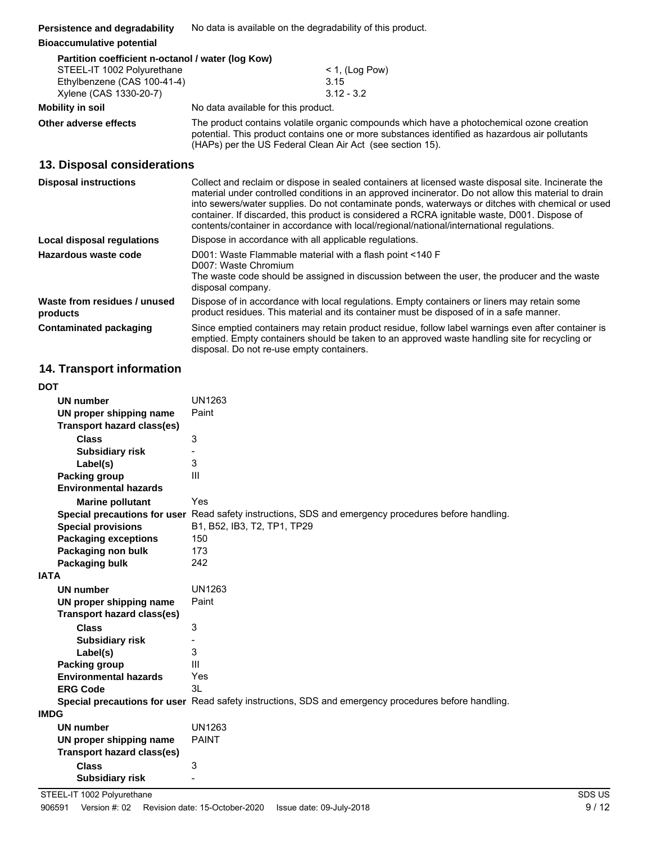|  | Persistence and degradability | No data is available on the degradability of this product. |
|--|-------------------------------|------------------------------------------------------------|
|--|-------------------------------|------------------------------------------------------------|

#### **Bioaccumulative potential**

| Partition coefficient n-octanol / water (log Kow) |                                     |
|---------------------------------------------------|-------------------------------------|
| STEEL-IT 1002 Polyurethane                        | $<$ 1, (Log Pow)                    |
| Ethylbenzene (CAS 100-41-4)                       | 3.15                                |
| Xylene (CAS 1330-20-7)                            | $3.12 - 3.2$                        |
| Mobility in soil                                  | No data available for this product. |

**Other adverse effects** The product contains volatile organic compounds which have a photochemical ozone creation potential. This product contains one or more substances identified as hazardous air pollutants (HAPs) per the US Federal Clean Air Act (see section 15).

### **13. Disposal considerations**

| <b>Disposal instructions</b>             | Collect and reclaim or dispose in sealed containers at licensed waste disposal site. Incinerate the<br>material under controlled conditions in an approved incinerator. Do not allow this material to drain<br>into sewers/water supplies. Do not contaminate ponds, waterways or ditches with chemical or used<br>container. If discarded, this product is considered a RCRA ignitable waste, D001. Dispose of<br>contents/container in accordance with local/regional/national/international regulations. |
|------------------------------------------|-------------------------------------------------------------------------------------------------------------------------------------------------------------------------------------------------------------------------------------------------------------------------------------------------------------------------------------------------------------------------------------------------------------------------------------------------------------------------------------------------------------|
| Local disposal regulations               | Dispose in accordance with all applicable regulations.                                                                                                                                                                                                                                                                                                                                                                                                                                                      |
| Hazardous waste code                     | D001: Waste Flammable material with a flash point <140 F<br>D007: Waste Chromium<br>The waste code should be assigned in discussion between the user, the producer and the waste<br>disposal company.                                                                                                                                                                                                                                                                                                       |
| Waste from residues / unused<br>products | Dispose of in accordance with local regulations. Empty containers or liners may retain some<br>product residues. This material and its container must be disposed of in a safe manner.                                                                                                                                                                                                                                                                                                                      |
| <b>Contaminated packaging</b>            | Since emptied containers may retain product residue, follow label warnings even after container is<br>emptied. Empty containers should be taken to an approved waste handling site for recycling or<br>disposal. Do not re-use empty containers.                                                                                                                                                                                                                                                            |

### **14. Transport information**

| <b>DOT</b>                        |                                                                                                      |
|-----------------------------------|------------------------------------------------------------------------------------------------------|
| <b>UN number</b>                  | UN1263                                                                                               |
| UN proper shipping name           | Paint                                                                                                |
| <b>Transport hazard class(es)</b> |                                                                                                      |
| <b>Class</b>                      | 3                                                                                                    |
| <b>Subsidiary risk</b>            |                                                                                                      |
| Label(s)                          | 3                                                                                                    |
| <b>Packing group</b>              | $\mathbf{III}$                                                                                       |
| <b>Environmental hazards</b>      |                                                                                                      |
| <b>Marine pollutant</b>           | Yes                                                                                                  |
|                                   | Special precautions for user Read safety instructions, SDS and emergency procedures before handling. |
| <b>Special provisions</b>         | B1, B52, IB3, T2, TP1, TP29                                                                          |
| <b>Packaging exceptions</b>       | 150                                                                                                  |
| Packaging non bulk                | 173                                                                                                  |
| Packaging bulk                    | 242                                                                                                  |
| <b>IATA</b>                       |                                                                                                      |
| <b>UN number</b>                  | UN1263                                                                                               |
| UN proper shipping name           | Paint                                                                                                |
| <b>Transport hazard class(es)</b> |                                                                                                      |
|                                   |                                                                                                      |
| <b>Class</b>                      | 3                                                                                                    |
| <b>Subsidiary risk</b>            |                                                                                                      |
| Label(s)                          | 3                                                                                                    |
| Packing group                     | Ш                                                                                                    |
| <b>Environmental hazards</b>      | Yes                                                                                                  |
| <b>ERG Code</b>                   | 3L                                                                                                   |
|                                   | Special precautions for user Read safety instructions, SDS and emergency procedures before handling. |
| <b>IMDG</b>                       |                                                                                                      |
| <b>UN number</b>                  | UN1263                                                                                               |
| UN proper shipping name           | <b>PAINT</b>                                                                                         |
| <b>Transport hazard class(es)</b> |                                                                                                      |
| <b>Class</b>                      | 3                                                                                                    |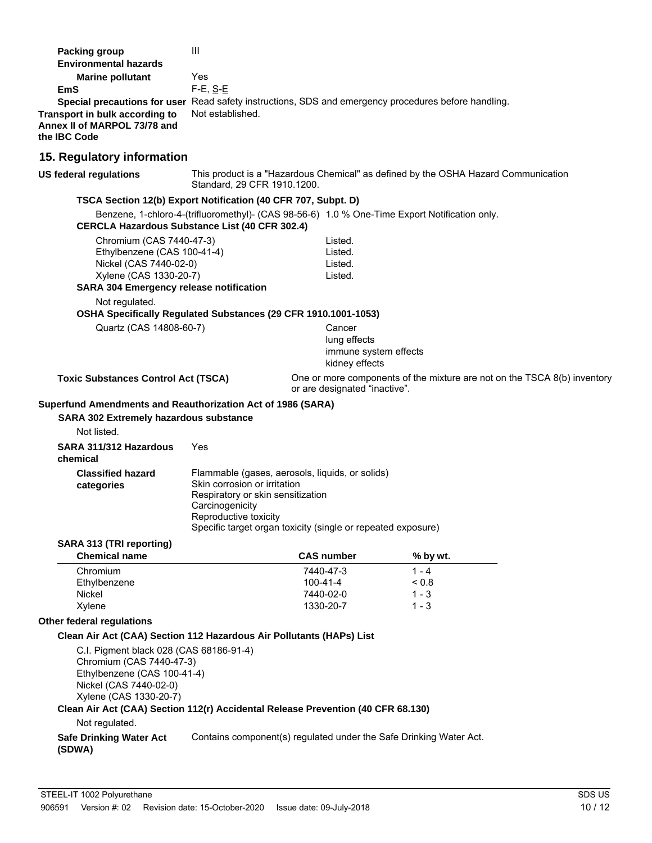| <b>Packing group</b>                                                                                 | Ш                                 |                                                              |                                                                                               |  |  |
|------------------------------------------------------------------------------------------------------|-----------------------------------|--------------------------------------------------------------|-----------------------------------------------------------------------------------------------|--|--|
| <b>Environmental hazards</b>                                                                         |                                   |                                                              |                                                                                               |  |  |
| <b>Marine pollutant</b>                                                                              | Yes                               |                                                              |                                                                                               |  |  |
| <b>EmS</b>                                                                                           | $F-E$ , $S-E$                     |                                                              |                                                                                               |  |  |
| Special precautions for user Read safety instructions, SDS and emergency procedures before handling. |                                   |                                                              |                                                                                               |  |  |
| Transport in bulk according to                                                                       | Not established.                  |                                                              |                                                                                               |  |  |
| Annex II of MARPOL 73/78 and                                                                         |                                   |                                                              |                                                                                               |  |  |
| the IBC Code                                                                                         |                                   |                                                              |                                                                                               |  |  |
| 15. Regulatory information                                                                           |                                   |                                                              |                                                                                               |  |  |
| <b>US federal regulations</b>                                                                        | Standard, 29 CFR 1910.1200.       |                                                              | This product is a "Hazardous Chemical" as defined by the OSHA Hazard Communication            |  |  |
| TSCA Section 12(b) Export Notification (40 CFR 707, Subpt. D)                                        |                                   |                                                              |                                                                                               |  |  |
| <b>CERCLA Hazardous Substance List (40 CFR 302.4)</b>                                                |                                   |                                                              | Benzene, 1-chloro-4-(trifluoromethyl)- (CAS 98-56-6) 1.0 % One-Time Export Notification only. |  |  |
| Chromium (CAS 7440-47-3)                                                                             |                                   | Listed.                                                      |                                                                                               |  |  |
| Ethylbenzene (CAS 100-41-4)                                                                          |                                   | Listed.                                                      |                                                                                               |  |  |
| Nickel (CAS 7440-02-0)                                                                               |                                   | Listed.                                                      |                                                                                               |  |  |
| Xylene (CAS 1330-20-7)                                                                               |                                   | Listed.                                                      |                                                                                               |  |  |
| <b>SARA 304 Emergency release notification</b>                                                       |                                   |                                                              |                                                                                               |  |  |
| Not regulated.<br>OSHA Specifically Regulated Substances (29 CFR 1910.1001-1053)                     |                                   |                                                              |                                                                                               |  |  |
| Quartz (CAS 14808-60-7)                                                                              |                                   | Cancer                                                       |                                                                                               |  |  |
|                                                                                                      |                                   | lung effects                                                 |                                                                                               |  |  |
|                                                                                                      |                                   | immune system effects<br>kidney effects                      |                                                                                               |  |  |
|                                                                                                      |                                   |                                                              |                                                                                               |  |  |
| <b>Toxic Substances Control Act (TSCA)</b>                                                           |                                   | or are designated "inactive".                                | One or more components of the mixture are not on the TSCA 8(b) inventory                      |  |  |
| Superfund Amendments and Reauthorization Act of 1986 (SARA)                                          |                                   |                                                              |                                                                                               |  |  |
| <b>SARA 302 Extremely hazardous substance</b>                                                        |                                   |                                                              |                                                                                               |  |  |
| Not listed.                                                                                          |                                   |                                                              |                                                                                               |  |  |
| SARA 311/312 Hazardous<br>chemical                                                                   | Yes                               |                                                              |                                                                                               |  |  |
| <b>Classified hazard</b>                                                                             |                                   | Flammable (gases, aerosols, liquids, or solids)              |                                                                                               |  |  |
|                                                                                                      | Skin corrosion or irritation      |                                                              |                                                                                               |  |  |
| categories                                                                                           | Respiratory or skin sensitization |                                                              |                                                                                               |  |  |
|                                                                                                      | Carcinogenicity                   |                                                              |                                                                                               |  |  |
|                                                                                                      | Reproductive toxicity             |                                                              |                                                                                               |  |  |
|                                                                                                      |                                   | Specific target organ toxicity (single or repeated exposure) |                                                                                               |  |  |
| SARA 313 (TRI reporting)                                                                             |                                   |                                                              |                                                                                               |  |  |
| <b>Chemical name</b>                                                                                 |                                   | <b>CAS number</b>                                            | % by wt.                                                                                      |  |  |
| Chromium                                                                                             |                                   | 7440-47-3                                                    | $1 - 4$                                                                                       |  |  |
| Ethylbenzene                                                                                         |                                   | 100-41-4                                                     | < 0.8                                                                                         |  |  |
| Nickel                                                                                               |                                   | 7440-02-0                                                    | $1 - 3$                                                                                       |  |  |
| Xylene                                                                                               |                                   | 1330-20-7                                                    | 1 - 3                                                                                         |  |  |
| Other federal regulations                                                                            |                                   |                                                              |                                                                                               |  |  |
| Clean Air Act (CAA) Section 112 Hazardous Air Pollutants (HAPs) List                                 |                                   |                                                              |                                                                                               |  |  |
| C.I. Pigment black 028 (CAS 68186-91-4)                                                              |                                   |                                                              |                                                                                               |  |  |
| Chromium (CAS 7440-47-3)                                                                             |                                   |                                                              |                                                                                               |  |  |
| Ethylbenzene (CAS 100-41-4)                                                                          |                                   |                                                              |                                                                                               |  |  |
| Nickel (CAS 7440-02-0)                                                                               |                                   |                                                              |                                                                                               |  |  |
| Xylene (CAS 1330-20-7)                                                                               |                                   |                                                              |                                                                                               |  |  |
| Clean Air Act (CAA) Section 112(r) Accidental Release Prevention (40 CFR 68.130)                     |                                   |                                                              |                                                                                               |  |  |
| Not regulated.                                                                                       |                                   |                                                              |                                                                                               |  |  |
| <b>Safe Drinking Water Act</b><br>(SDWA)                                                             |                                   |                                                              | Contains component(s) regulated under the Safe Drinking Water Act.                            |  |  |
|                                                                                                      |                                   |                                                              |                                                                                               |  |  |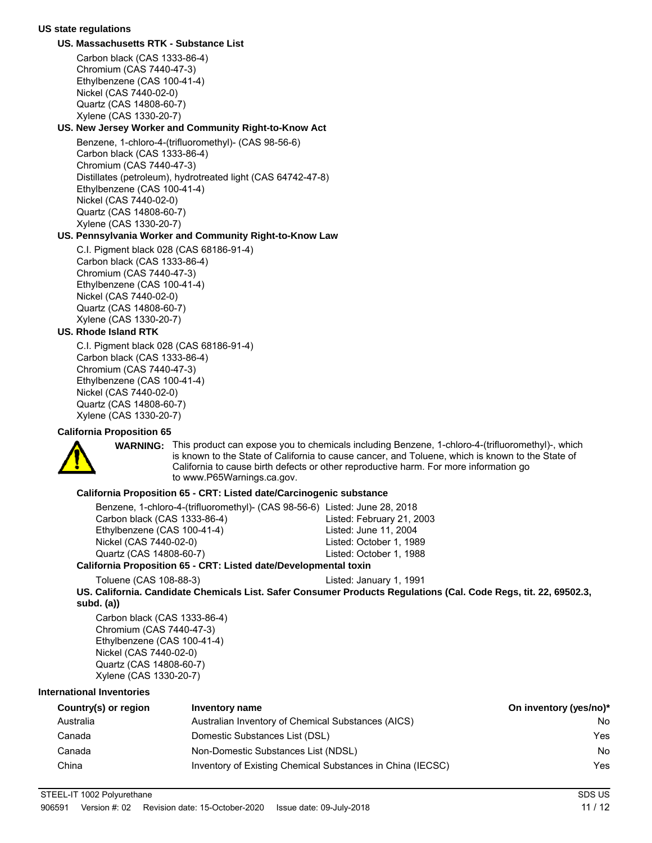#### **US state regulations**

#### **US. Massachusetts RTK - Substance List**

Carbon black (CAS 1333-86-4) Chromium (CAS 7440-47-3) Ethylbenzene (CAS 100-41-4) Nickel (CAS 7440-02-0) Quartz (CAS 14808-60-7) Xylene (CAS 1330-20-7)

### **US. New Jersey Worker and Community Right-to-Know Act**

Benzene, 1-chloro-4-(trifluoromethyl)- (CAS 98-56-6) Carbon black (CAS 1333-86-4) Chromium (CAS 7440-47-3) Distillates (petroleum), hydrotreated light (CAS 64742-47-8) Ethylbenzene (CAS 100-41-4) Nickel (CAS 7440-02-0) Quartz (CAS 14808-60-7) Xylene (CAS 1330-20-7)

#### **US. Pennsylvania Worker and Community Right-to-Know Law**

C.I. Pigment black 028 (CAS 68186-91-4) Carbon black (CAS 1333-86-4) Chromium (CAS 7440-47-3) Ethylbenzene (CAS 100-41-4) Nickel (CAS 7440-02-0) Quartz (CAS 14808-60-7) Xylene (CAS 1330-20-7)

#### **US. Rhode Island RTK**

C.I. Pigment black 028 (CAS 68186-91-4) Carbon black (CAS 1333-86-4) Chromium (CAS 7440-47-3) Ethylbenzene (CAS 100-41-4) Nickel (CAS 7440-02-0) Quartz (CAS 14808-60-7) Xylene (CAS 1330-20-7)

#### **California Proposition 65**



WARNING: This product can expose you to chemicals including Benzene, 1-chloro-4-(trifluoromethyl)-, which is known to the State of California to cause cancer, and Toluene, which is known to the State of California to cause birth defects or other reproductive harm. For more information go to www.P65Warnings.ca.gov.

### **California Proposition 65 - CRT: Listed date/Carcinogenic substance**

| Benzene, 1-chloro-4-(trifluoromethyl)- (CAS 98-56-6) Listed: June 28, 2018 |                           |
|----------------------------------------------------------------------------|---------------------------|
| Carbon black (CAS 1333-86-4)                                               | Listed: February 21, 2003 |
| Ethylbenzene (CAS 100-41-4)                                                | Listed: June 11, 2004     |
| Nickel (CAS 7440-02-0)                                                     | Listed: October 1, 1989   |
| Quartz (CAS 14808-60-7)                                                    | Listed: October 1, 1988   |
| <u> Efemie Dranaskien CE – CDT. Listed deta/Davelonmantel tavin</u>        |                           |

#### **California Proposition 65 - CRT: Listed date/Developmental toxin**

Toluene (CAS 108-88-3) Listed: January 1, 1991

**US. California. Candidate Chemicals List. Safer Consumer Products Regulations (Cal. Code Regs, tit. 22, 69502.3, subd. (a))**

Carbon black (CAS 1333-86-4) Chromium (CAS 7440-47-3) Ethylbenzene (CAS 100-41-4) Nickel (CAS 7440-02-0) Quartz (CAS 14808-60-7) Xylene (CAS 1330-20-7)

### **International Inventories**

| Country(s) or region | Inventory name                                             | On inventory (yes/no)* |
|----------------------|------------------------------------------------------------|------------------------|
| Australia            | Australian Inventory of Chemical Substances (AICS)         | No                     |
| Canada               | Domestic Substances List (DSL)                             | Yes                    |
| Canada               | Non-Domestic Substances List (NDSL)                        | No                     |
| China                | Inventory of Existing Chemical Substances in China (IECSC) | Yes                    |